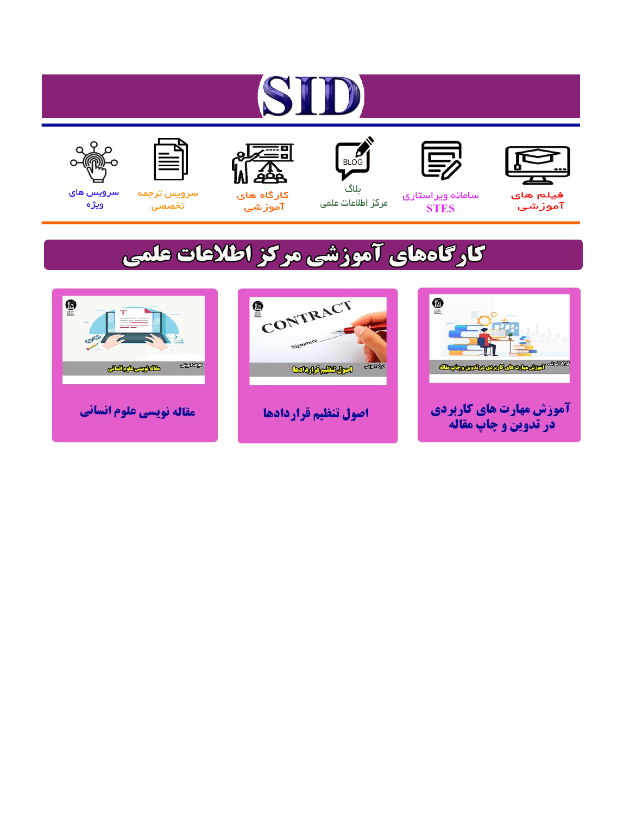# ST











مرکز اطلاعات علمی

 $\frac{1}{\sqrt{\frac{1}{100}}}$ ىلاگ



آموزشي

空

سرويس ترجمه تخصصى



سرویس های ويژه

## كارگاههای آموزشی مركز اطلاعات علمی





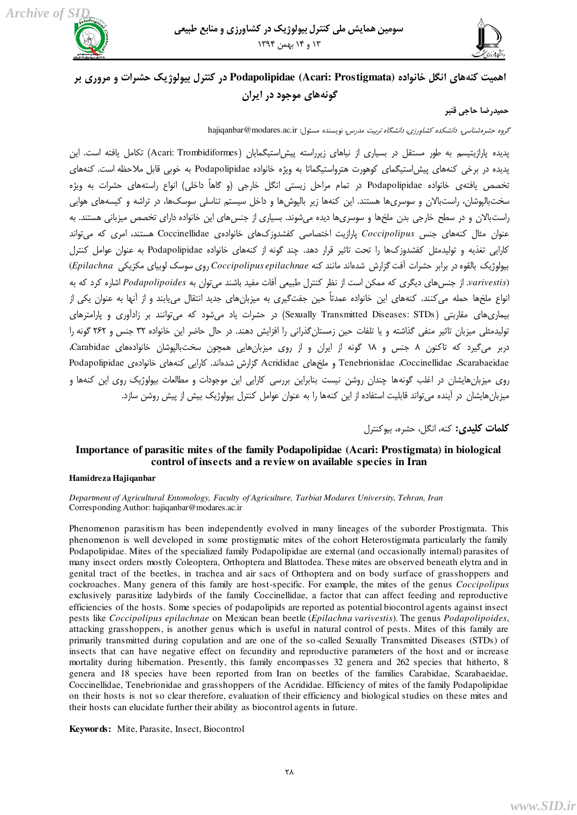



### اهمیت کنههای انگل خانواده Podapolipidae (Acari: Prostigmata) در کنترل بیولوژیک حشیرات و مروری بر گونههای موجو**د د**ر ایران

#### حميدرضا حاج*ي* قنبر

 $\delta$ گروه حشره شناسى، دانشكده كشاورزى، دانشگاه تربيت مدرس، نويسنده مسئول: hajiqanbar@modares.ac.ir

پديده پارازيتيسم به طور مستقل در بسياري از نياهاي زيرراسته پيش|ستيگمايان (Acari: Trombidiformes) تكامل يافته است. اين پديده در برخي كنههاى پيشٍاستيگماى كوهورت هترواستيگماتا به ويژه خانواده Podapolipidae به خوبي قابل ملاحظه است. كنههاى تخصص يافتهى خانواده Podapolipidae در تمام مراحل زيستي انگل خارجي (و گاهاً داخلي) انواع راستههاى حشرات به ويژه سختبالپوشان، راستبالان و سوسرىها هستند. اين كنهها زير بالپوشها و داخل سيستم تناسلي سوسكها، در تراشه و كيسههاى هوايي راستبالان و در سطح خارجي بدن ملخها و سوسرىها ديده مي شوند. بسيارى از جنس هاى اين خانواده داراى تخصص ميزبانى هستند. به عنوان مثال کنههاى جنس *Coccipolipus* يارازيت اختصاصي کفشدوزکهاى خانوادەى Coccinellidae هستند، امرى که مى¤واند کارایی تغذیه و تولیدمثل کفشدوزک@ را تحت تاثیر قرار دهد. چند گونه از کنههاى خانواده Podapolipidae به عنوان عوامل کنترل ثًٕڅًّٔټ ثبڅٺًٌ ىٍ ثَاثَ كَٚار آاٴز ځِاٍٗ ٙيٌاوي ډبوىي ٽىٍ *epilachnae Coccipolipus* ٍيْ ًٕٕټ څًثٕبْ ډپِٔپٓ *Epilachna*( (varivestis. از جنس هاى ديگرى كه ممكن است از نظر كنترل طبيعى آفات مفيد باشند مى توان به *Podapolipoides اشا*ره كرد كه به انواع ملخها حمله مي كنند. كنههاى اين خانواده عمدتاً حين جفتگيرى به ميزبانهاى جديد انتقال مىيابند و از آنها به عنوان يكى از بیماری،های مقاربتی (Sexually Transmitted Diseases: STDs) در حشرات یاد مے،شود که مے،توانند بر زادآوری و پارامترهای توليدمثلی ميزبان تاثير منفی گذاشته و يا تلفات حين زمستانگذرانی را افزايش دهند. در حال حاضر اين خانواده ٣٢ جنس و ٢۶٢ گونه را دربر مىگيرد كه تاكنون ٨ جنس و ١٨ گونه از ايران و از روى ميزبانِهايى همچون سختبالپوشان خانوادههاى Carabidae، Podapolipidae ، Scarabaeidae و ملخِهاى Acrididae كَرَارش شدهاند. كارايي كنههاى خانوادهى Podapolipidae روى ميزبان&ايشان در اغلب گونهها چندان روشن نيست بنابراين بررسى كارايى اين موجودات و مطالعات بيولوژيک روى اين كنهها و میزبانِهایشان در آینده می تواند قابلیت استفاده از این کنهها را به عنوان عوامل کنترل بیولوژیک بیش از پیش روشن سازد.

**كلمات كليدي:** كنه، انگل، حشره، بيوكنترل

#### **Importance of parasitic mites of the family Podapolipidae (Acari: Prostigmata) in biological control of insects and a review on available species in Iran**

#### **Hamidreza Hajiqanbar**

*Department of Agricultural Entomology, Faculty of Agriculture, Tarbiat Modares University, Tehran, Iran*  Corresponding Author[: hajiqanbar@modares.ac.ir](mailto:hajiqanbar@modares.ac.ir)

Phenomenon parasitism has been independently evolved in many lineages of the suborder Prostigmata. This phenomenon is well developed in some prostigmatic mites of the cohort Heterostigmata particularly the family Podapolipidae. Mites of the specialized family Podapolipidae are external (and occasionally internal) parasites of many insect orders mostly Coleoptera, Orthoptera and Blattodea. These mites are observed beneath elytra and in genital tract of the beetles, in trachea and air sacs of Orthoptera and on body surface of grasshoppers and cockroaches. Many genera of this family are host-specific. For example, the mites of the genus *Coccipolipus* exclusively parasitize ladybirds of the family Coccinellidae, a factor that can affect feeding and reproductive efficiencies of the hosts. Some species of podapolipids are reported as potential biocontrol agents against insect pests like *Coccipolipus epilachnae* on Mexican bean beetle (*Epilachna varivestis*). The genus *Podapolipoides*, attacking grasshoppers, is another genus which is useful in natural control of pests. Mites of this family are primarily transmitted during copulation and are one of the so-called Sexually Transmitted Diseases (STDs) of insects that can have negative effect on fecundity and reproductive parameters of the host and or increase mortality during hibernation. Presently, this family encompasses 32 genera and 262 species that hitherto, 8 genera and 18 species have been reported from Iran on beetles of the families Carabidae, Scarabaeidae, Coccinellidae, Tenebrionidae and grasshoppers of the Acrididae. Efficiency of mites of the family Podapolipidae on their hosts is not so clear therefore, evaluation of their efficiency and biological studies on these mites and their hosts can elucidate further their ability as biocontrol agents in future.

#### **Keywords:** Mite, Parasite, Insect, Biocontrol